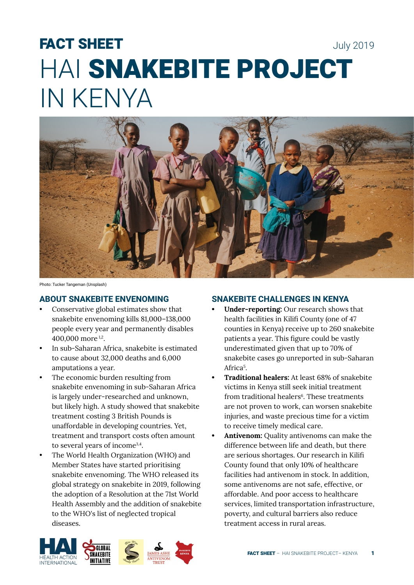# FACT SHEET July 2019 HAI SNAKEBITE PROJECT IN KENYA



Photo: Tucker Tangeman (Unsplash)

# **ABOUT SNAKEBITE ENVENOMING**

- Conservative global estimates show that snakebite envenoming kills 81,000–138,000 people every year and permanently disables 400,000 more 1,2.
- In sub-Saharan Africa, snakebite is estimated to cause about 32,000 deaths and 6,000 amputations a year.
- The economic burden resulting from snakebite envenoming in sub-Saharan Africa is largely under-researched and unknown, but likely high. A study showed that snakebite treatment costing 3 British Pounds is unaffordable in developing countries. Yet, treatment and transport costs often amount to several years of income3,4.
- The World Health Organization (WHO) and Member States have started prioritising snakebite envenoming. The WHO released its global strategy on snakebite in 2019, following the adoption of a Resolution at the 71st World Health Assembly and the addition of snakebite to the WHO's list of neglected tropical diseases.

### **SNAKEBITE CHALLENGES IN KENYA**

- **• Under-reporting:** Our research shows that health facilities in Kilifi County (one of 47 counties in Kenya) receive up to 260 snakebite patients a year. This figure could be vastly underestimated given that up to 70% of snakebite cases go unreported in sub-Saharan Africa<sup>5</sup>.
- **• Traditional healers:** At least 68% of snakebite victims in Kenya still seek initial treatment from traditional healers<sup>6</sup>. These treatments are not proven to work, can worsen snakebite injuries, and waste precious time for a victim to receive timely medical care.
- **• Antivenom:** Quality antivenoms can make the difference between life and death, but there are serious shortages. Our research in Kilifi County found that only 10% of healthcare facilities had antivenom in stock. In addition, some antivenoms are not safe, effective, or affordable. And poor access to healthcare services, limited transportation infrastructure, poverty, and cultural barriers also reduce treatment access in rural areas.